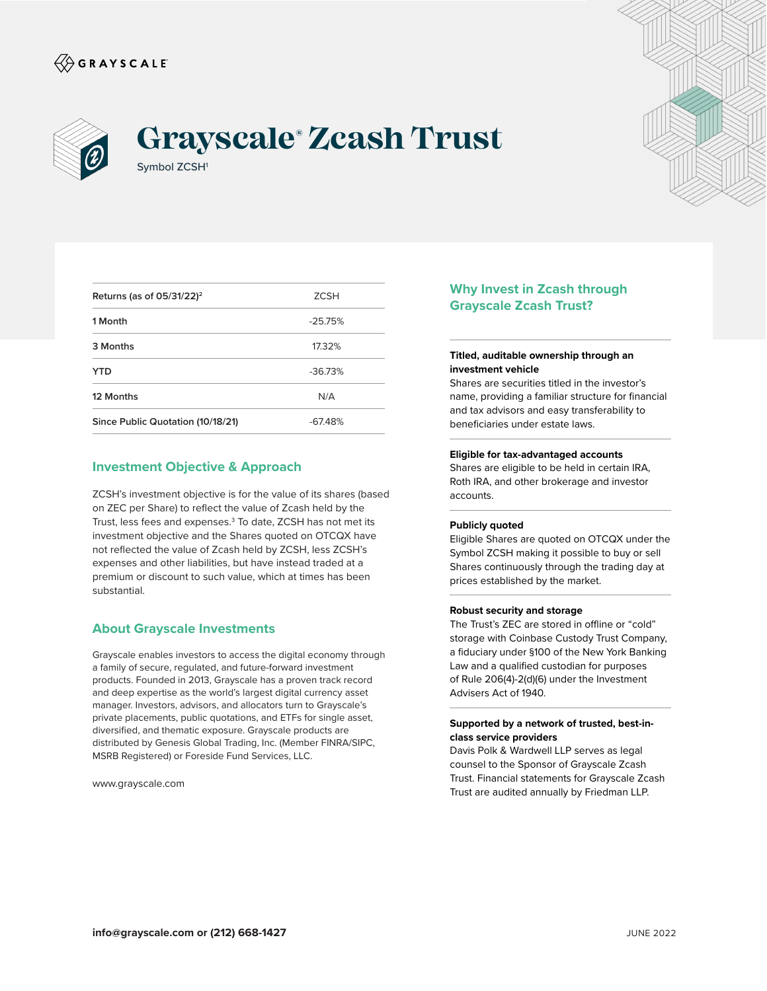



# Symbol ZCSH<sup>1</sup> **Grayscale® Zcash Trust**

| <b>ZCSH</b> |
|-------------|
| $-25.75%$   |
| 17.32%      |
| $-36.73%$   |
| N/A         |
| $-67.48%$   |
|             |

## **Investment Objective & Approach**

ZCSH's investment objective is for the value of its shares (based on ZEC per Share) to reflect the value of Zcash held by the Trust, less fees and expenses.<sup>3</sup> To date, ZCSH has not met its investment objective and the Shares quoted on OTCQX have not reflected the value of Zcash held by ZCSH, less ZCSH's expenses and other liabilities, but have instead traded at a premium or discount to such value, which at times has been substantial.

## **About Grayscale Investments**

Grayscale enables investors to access the digital economy through a family of secure, regulated, and future-forward investment products. Founded in 2013, Grayscale has a proven track record and deep expertise as the world's largest digital currency asset manager. Investors, advisors, and allocators turn to Grayscale's private placements, public quotations, and ETFs for single asset, diversified, and thematic exposure. Grayscale products are distributed by Genesis Global Trading, Inc. (Member FINRA/SIPC, MSRB Registered) or Foreside Fund Services, LLC.

www.grayscale.com

# **Why Invest in Zcash through Grayscale Zcash Trust?**

#### **Titled, auditable ownership through an investment vehicle**

Shares are securities titled in the investor's name, providing a familiar structure for financial and tax advisors and easy transferability to beneficiaries under estate laws.

#### **Eligible for tax-advantaged accounts**

Shares are eligible to be held in certain IRA, Roth IRA, and other brokerage and investor accounts.

#### **Publicly quoted**

Eligible Shares are quoted on OTCQX under the Symbol ZCSH making it possible to buy or sell Shares continuously through the trading day at prices established by the market.

#### **Robust security and storage**

The Trust's ZEC are stored in offline or "cold" storage with Coinbase Custody Trust Company, a fiduciary under §100 of the New York Banking Law and a qualified custodian for purposes of Rule 206(4)-2(d)(6) under the Investment Advisers Act of 1940.

#### **Supported by a network of trusted, best-inclass service providers**

Davis Polk & Wardwell LLP serves as legal counsel to the Sponsor of Grayscale Zcash Trust. Financial statements for Grayscale Zcash Trust are audited annually by Friedman LLP.